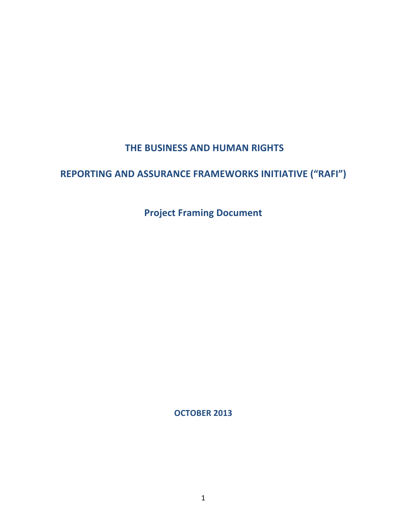## **THE BUSINESS AND HUMAN RIGHTS**

# **REPORTING AND ASSURANCE FRAMEWORKS INITIATIVE ("RAFI")**

**Project Framing Document** 

**OCTOBER 2013**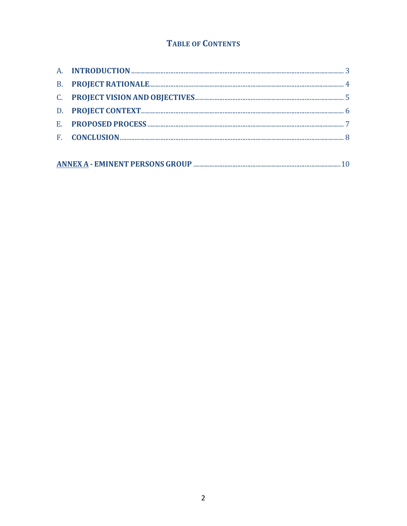### **TABLE OF CONTENTS**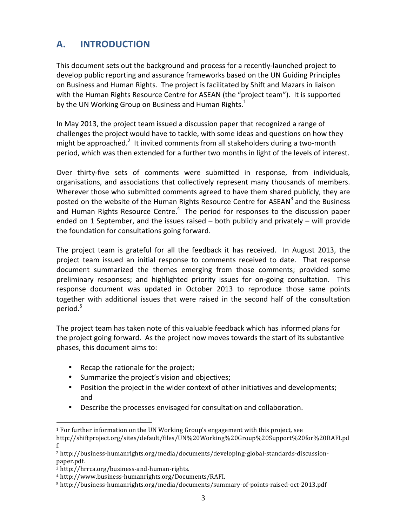## **A. INTRODUCTION**

This document sets out the background and process for a recently-launched project to develop public reporting and assurance frameworks based on the UN Guiding Principles on Business and Human Rights. The project is facilitated by Shift and Mazars in liaison with the Human Rights Resource Centre for ASEAN (the "project team"). It is supported by the UN Working Group on Business and Human Rights. $<sup>1</sup>$ </sup>

In May 2013, the project team issued a discussion paper that recognized a range of challenges the project would have to tackle, with some ideas and questions on how they might be approached.<sup>2</sup> It invited comments from all stakeholders during a two-month period, which was then extended for a further two months in light of the levels of interest.

Over thirty-five sets of comments were submitted in response, from individuals, organisations, and associations that collectively represent many thousands of members. Wherever those who submitted comments agreed to have them shared publicly, they are posted on the website of the Human Rights Resource Centre for ASEAN<sup>3</sup> and the Business and Human Rights Resource Centre.<sup>4</sup> The period for responses to the discussion paper ended on 1 September, and the issues raised  $-$  both publicly and privately  $-$  will provide the foundation for consultations going forward.

The project team is grateful for all the feedback it has received. In August 2013, the project team issued an initial response to comments received to date. That response document summarized the themes emerging from those comments; provided some preliminary responses; and highlighted priority issues for on-going consultation. This response document was updated in October 2013 to reproduce those same points together with additional issues that were raised in the second half of the consultation period.<sup>5</sup>

The project team has taken note of this valuable feedback which has informed plans for the project going forward. As the project now moves towards the start of its substantive phases, this document aims to:

- Recap the rationale for the project;
- Summarize the project's vision and objectives;
- Position the project in the wider context of other initiatives and developments; and
- Describe the processes envisaged for consultation and collaboration.

 

 $^{\rm 1}$  For further information on the UN Working Group's engagement with this project, see http://shiftproject.org/sites/default/files/UN%20Working%20Group%20Support%20for%20RAFI.pd

f. <sup>2</sup> http://business-humanrights.org/media/documents/developing-global-standards-discussion-

paper.pdf.

<sup>3</sup> http://hrrca.org/business-and-human-rights.

<sup>4</sup> http://www.business-humanrights.org/Documents/RAFI.

<sup>5</sup> http://business-humanrights.org/media/documents/summary-of-points-raised-oct-2013.pdf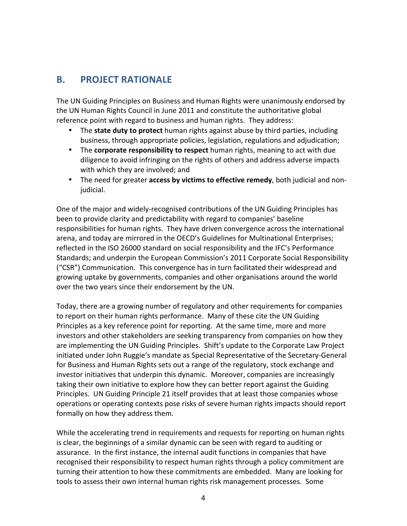#### **B.** PROJECT RATIONALE

The UN Guiding Principles on Business and Human Rights were unanimously endorsed by the UN Human Rights Council in June 2011 and constitute the authoritative global reference point with regard to business and human rights. They address:

- The **state duty to protect** human rights against abuse by third parties, including business, through appropriate policies, legislation, regulations and adjudication;
- The **corporate responsibility to respect** human rights, meaning to act with due diligence to avoid infringing on the rights of others and address adverse impacts with which they are involved; and
- The need for greater **access by victims to effective remedy**, both judicial and nonjudicial.

One of the major and widely-recognised contributions of the UN Guiding Principles has been to provide clarity and predictability with regard to companies' baseline responsibilities for human rights. They have driven convergence across the international arena, and today are mirrored in the OECD's Guidelines for Multinational Enterprises; reflected in the ISO 26000 standard on social responsibility and the IFC's Performance Standards; and underpin the European Commission's 2011 Corporate Social Responsibility ("CSR") Communication. This convergence has in turn facilitated their widespread and growing uptake by governments, companies and other organisations around the world over the two years since their endorsement by the UN.

Today, there are a growing number of regulatory and other requirements for companies to report on their human rights performance. Many of these cite the UN Guiding Principles as a key reference point for reporting. At the same time, more and more investors and other stakeholders are seeking transparency from companies on how they are implementing the UN Guiding Principles. Shift's update to the Corporate Law Project initiated under John Ruggie's mandate as Special Representative of the Secretary-General for Business and Human Rights sets out a range of the regulatory, stock exchange and investor initiatives that underpin this dynamic. Moreover, companies are increasingly taking their own initiative to explore how they can better report against the Guiding Principles. UN Guiding Principle 21 itself provides that at least those companies whose operations or operating contexts pose risks of severe human rights impacts should report formally on how they address them.

While the accelerating trend in requirements and requests for reporting on human rights is clear, the beginnings of a similar dynamic can be seen with regard to auditing or assurance. In the first instance, the internal audit functions in companies that have recognised their responsibility to respect human rights through a policy commitment are turning their attention to how these commitments are embedded. Many are looking for tools to assess their own internal human rights risk management processes. Some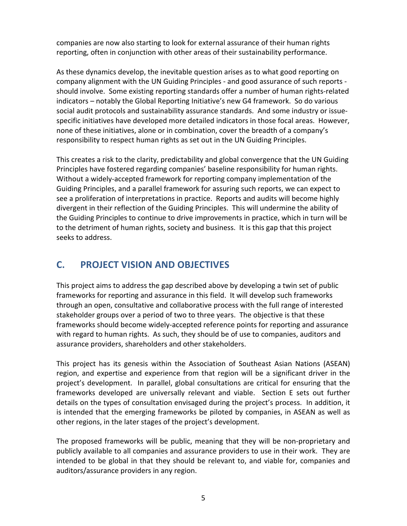companies are now also starting to look for external assurance of their human rights reporting, often in conjunction with other areas of their sustainability performance.

As these dynamics develop, the inevitable question arises as to what good reporting on company alignment with the UN Guiding Principles - and good assurance of such reports should involve. Some existing reporting standards offer a number of human rights-related indicators – notably the Global Reporting Initiative's new G4 framework. So do various social audit protocols and sustainability assurance standards. And some industry or issuespecific initiatives have developed more detailed indicators in those focal areas. However, none of these initiatives, alone or in combination, cover the breadth of a company's responsibility to respect human rights as set out in the UN Guiding Principles.

This creates a risk to the clarity, predictability and global convergence that the UN Guiding Principles have fostered regarding companies' baseline responsibility for human rights. Without a widely-accepted framework for reporting company implementation of the Guiding Principles, and a parallel framework for assuring such reports, we can expect to see a proliferation of interpretations in practice. Reports and audits will become highly divergent in their reflection of the Guiding Principles. This will undermine the ability of the Guiding Principles to continue to drive improvements in practice, which in turn will be to the detriment of human rights, society and business. It is this gap that this project seeks to address.

### **C. PROJECT VISION AND OBJECTIVES**

This project aims to address the gap described above by developing a twin set of public frameworks for reporting and assurance in this field. It will develop such frameworks through an open, consultative and collaborative process with the full range of interested stakeholder groups over a period of two to three years. The objective is that these frameworks should become widely-accepted reference points for reporting and assurance with regard to human rights. As such, they should be of use to companies, auditors and assurance providers, shareholders and other stakeholders.

This project has its genesis within the Association of Southeast Asian Nations (ASEAN) region, and expertise and experience from that region will be a significant driver in the project's development. In parallel, global consultations are critical for ensuring that the frameworks developed are universally relevant and viable. Section E sets out further details on the types of consultation envisaged during the project's process. In addition, it is intended that the emerging frameworks be piloted by companies, in ASEAN as well as other regions, in the later stages of the project's development.

The proposed frameworks will be public, meaning that they will be non-proprietary and publicly available to all companies and assurance providers to use in their work. They are intended to be global in that they should be relevant to, and viable for, companies and auditors/assurance providers in any region.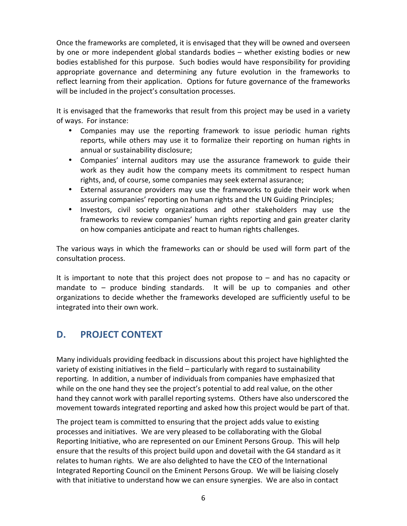Once the frameworks are completed, it is envisaged that they will be owned and overseen by one or more independent global standards bodies – whether existing bodies or new bodies established for this purpose. Such bodies would have responsibility for providing appropriate governance and determining any future evolution in the frameworks to reflect learning from their application. Options for future governance of the frameworks will be included in the project's consultation processes.

It is envisaged that the frameworks that result from this project may be used in a variety of ways. For instance:

- Companies may use the reporting framework to issue periodic human rights reports, while others may use it to formalize their reporting on human rights in annual or sustainability disclosure;
- Companies' internal auditors may use the assurance framework to guide their work as they audit how the company meets its commitment to respect human rights, and, of course, some companies may seek external assurance;
- External assurance providers may use the frameworks to guide their work when assuring companies' reporting on human rights and the UN Guiding Principles;
- Investors, civil society organizations and other stakeholders may use the frameworks to review companies' human rights reporting and gain greater clarity on how companies anticipate and react to human rights challenges.

The various ways in which the frameworks can or should be used will form part of the consultation process.

It is important to note that this project does not propose to  $-$  and has no capacity or mandate to  $-$  produce binding standards. It will be up to companies and other organizations to decide whether the frameworks developed are sufficiently useful to be integrated into their own work.

### **D.** PROJECT CONTEXT

Many individuals providing feedback in discussions about this project have highlighted the variety of existing initiatives in the field – particularly with regard to sustainability reporting. In addition, a number of individuals from companies have emphasized that while on the one hand they see the project's potential to add real value, on the other hand they cannot work with parallel reporting systems. Others have also underscored the movement towards integrated reporting and asked how this project would be part of that.

The project team is committed to ensuring that the project adds value to existing processes and initiatives. We are very pleased to be collaborating with the Global Reporting Initiative, who are represented on our Eminent Persons Group. This will help ensure that the results of this project build upon and dovetail with the G4 standard as it relates to human rights. We are also delighted to have the CEO of the International Integrated Reporting Council on the Eminent Persons Group. We will be liaising closely with that initiative to understand how we can ensure synergies. We are also in contact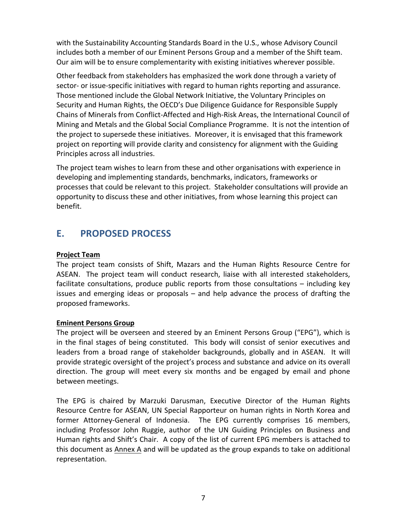with the Sustainability Accounting Standards Board in the U.S., whose Advisory Council includes both a member of our Eminent Persons Group and a member of the Shift team. Our aim will be to ensure complementarity with existing initiatives wherever possible.

Other feedback from stakeholders has emphasized the work done through a variety of sector- or issue-specific initiatives with regard to human rights reporting and assurance. Those mentioned include the Global Network Initiative, the Voluntary Principles on Security and Human Rights, the OECD's Due Diligence Guidance for Responsible Supply Chains of Minerals from Conflict-Affected and High-Risk Areas, the International Council of Mining and Metals and the Global Social Compliance Programme. It is not the intention of the project to supersede these initiatives. Moreover, it is envisaged that this framework project on reporting will provide clarity and consistency for alignment with the Guiding Principles across all industries.

The project team wishes to learn from these and other organisations with experience in developing and implementing standards, benchmarks, indicators, frameworks or processes that could be relevant to this project. Stakeholder consultations will provide an opportunity to discuss these and other initiatives, from whose learning this project can benefit.

#### **E. PROPOSED PROCESS**

#### **Project Team**

The project team consists of Shift, Mazars and the Human Rights Resource Centre for ASEAN. The project team will conduct research, liaise with all interested stakeholders, facilitate consultations, produce public reports from those consultations  $-$  including key issues and emerging ideas or proposals  $-$  and help advance the process of drafting the proposed frameworks.

#### **Eminent Persons Group**

The project will be overseen and steered by an Eminent Persons Group ("EPG"), which is in the final stages of being constituted. This body will consist of senior executives and leaders from a broad range of stakeholder backgrounds, globally and in ASEAN. It will provide strategic oversight of the project's process and substance and advice on its overall direction. The group will meet every six months and be engaged by email and phone between meetings. 

The EPG is chaired by Marzuki Darusman, Executive Director of the Human Rights Resource Centre for ASEAN, UN Special Rapporteur on human rights in North Korea and former Attorney-General of Indonesia. The EPG currently comprises 16 members, including Professor John Ruggie, author of the UN Guiding Principles on Business and Human rights and Shift's Chair. A copy of the list of current EPG members is attached to this document as Annex A and will be updated as the group expands to take on additional representation.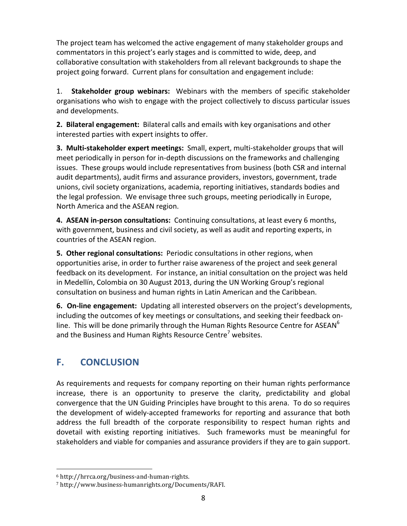The project team has welcomed the active engagement of many stakeholder groups and commentators in this project's early stages and is committed to wide, deep, and collaborative consultation with stakeholders from all relevant backgrounds to shape the project going forward. Current plans for consultation and engagement include:

1. Stakeholder group webinars: Webinars with the members of specific stakeholder organisations who wish to engage with the project collectively to discuss particular issues and developments.

**2. Bilateral engagement:** Bilateral calls and emails with key organisations and other interested parties with expert insights to offer.

**3. Multi-stakeholder expert meetings:** Small, expert, multi-stakeholder groups that will meet periodically in person for in-depth discussions on the frameworks and challenging issues. These groups would include representatives from business (both CSR and internal audit departments), audit firms and assurance providers, investors, government, trade unions, civil society organizations, academia, reporting initiatives, standards bodies and the legal profession. We envisage three such groups, meeting periodically in Europe, North America and the ASEAN region.

**4. ASEAN in-person consultations:** Continuing consultations, at least every 6 months, with government, business and civil society, as well as audit and reporting experts, in countries of the ASEAN region.

**5. Other regional consultations:** Periodic consultations in other regions, when opportunities arise, in order to further raise awareness of the project and seek general feedback on its development. For instance, an initial consultation on the project was held in Medellín, Colombia on 30 August 2013, during the UN Working Group's regional consultation on business and human rights in Latin American and the Caribbean.

**6. On-line engagement:** Updating all interested observers on the project's developments, including the outcomes of key meetings or consultations, and seeking their feedback online. This will be done primarily through the Human Rights Resource Centre for ASEAN<sup>6</sup> and the Business and Human Rights Resource Centre<sup>7</sup> websites.

# **F. CONCLUSION**

As requirements and requests for company reporting on their human rights performance increase, there is an opportunity to preserve the clarity, predictability and global convergence that the UN Guiding Principles have brought to this arena. To do so requires the development of widely-accepted frameworks for reporting and assurance that both address the full breadth of the corporate responsibility to respect human rights and dovetail with existing reporting initiatives. Such frameworks must be meaningful for stakeholders and viable for companies and assurance providers if they are to gain support.

 

<sup>6</sup> http://hrrca.org/business-and-human-rights.

<sup>7</sup> http://www.business-humanrights.org/Documents/RAFI.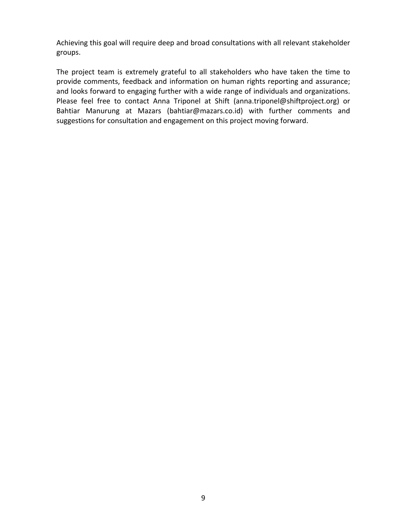Achieving this goal will require deep and broad consultations with all relevant stakeholder groups. 

The project team is extremely grateful to all stakeholders who have taken the time to provide comments, feedback and information on human rights reporting and assurance; and looks forward to engaging further with a wide range of individuals and organizations. Please feel free to contact Anna Triponel at Shift (anna.triponel@shiftproject.org) or Bahtiar Manurung at Mazars (bahtiar@mazars.co.id) with further comments and suggestions for consultation and engagement on this project moving forward.